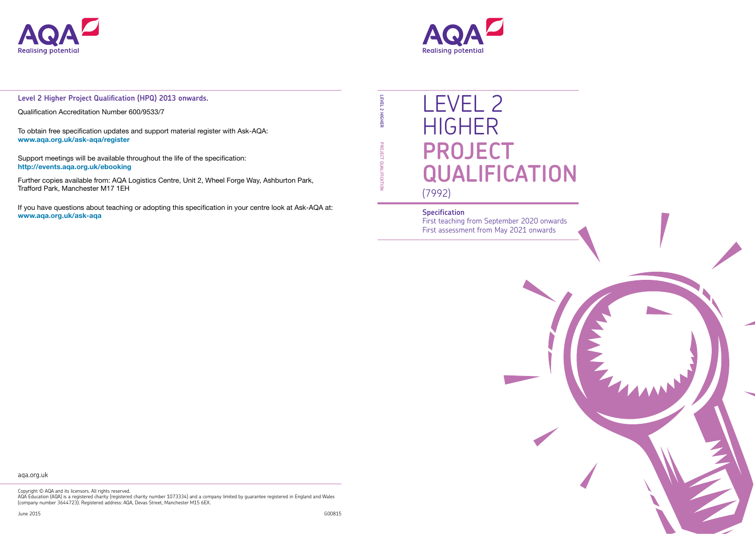

# LEVEL 2 HIGHER **PROJECT QUALIFICATION** (7992)

#### **Specification**

First teaching from September 2020 onwards First assessment from May 2021 onwards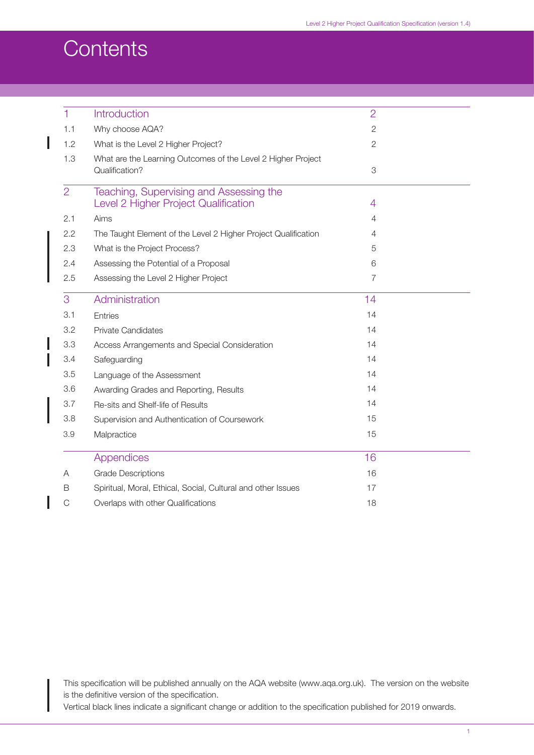## **Contents**

 $\overline{\phantom{a}}$ 

I

| $\mathbf{1}$   | Introduction                                                   | $\overline{2}$ |  |
|----------------|----------------------------------------------------------------|----------------|--|
| 1.1            | Why choose AQA?                                                | $\mathbf{2}$   |  |
| 1.2            | What is the Level 2 Higher Project?                            | $\overline{c}$ |  |
| 1.3            | What are the Learning Outcomes of the Level 2 Higher Project   |                |  |
|                | Qualification?                                                 | 3              |  |
| $\overline{2}$ | Teaching, Supervising and Assessing the                        |                |  |
|                | Level 2 Higher Project Qualification                           | 4              |  |
| 2.1            | Aims                                                           | 4              |  |
| 2.2            | The Taught Element of the Level 2 Higher Project Qualification | 4              |  |
| 2.3            | What is the Project Process?                                   | 5              |  |
| 2.4            | Assessing the Potential of a Proposal                          | 6              |  |
| 2.5            | Assessing the Level 2 Higher Project                           | $\overline{7}$ |  |
| 3              | Administration                                                 | 14             |  |
| 3.1            | <b>Entries</b>                                                 | 14             |  |
| 3.2            | <b>Private Candidates</b>                                      | 14             |  |
| 3.3            | Access Arrangements and Special Consideration                  | 14             |  |
| 3.4            | Safeguarding                                                   | 14             |  |
| 3.5            | Language of the Assessment                                     | 14             |  |
| 3.6            | Awarding Grades and Reporting, Results                         | 14             |  |
| 3.7            | Re-sits and Shelf-life of Results                              | 14             |  |
| 3.8            | Supervision and Authentication of Coursework                   | 15             |  |
| 3.9            | Malpractice                                                    | 15             |  |
|                | <b>Appendices</b>                                              | 16             |  |
| A              | <b>Grade Descriptions</b>                                      | 16             |  |
| B              | Spiritual, Moral, Ethical, Social, Cultural and other Issues   | 17             |  |
| C              | Overlaps with other Qualifications                             | 18             |  |
|                |                                                                |                |  |

This specification will be published annually on the AQA website (www.aqa.org.uk). The version on the website is the definitive version of the specification.

Vertical black lines indicate a significant change or addition to the specification published for 2019 onwards.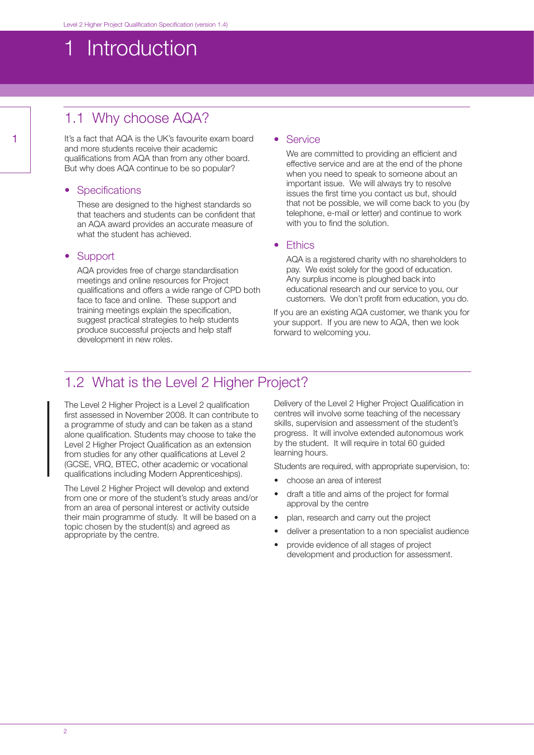## <span id="page-2-0"></span>1 Introduction

## 1.1 Why choose AQA?

It's a fact that AQA is the UK's favourite exam board and more students receive their academic qualifications from AQA than from any other board. But why does AQA continue to be so popular?

#### • Specifications

These are designed to the highest standards so that teachers and students can be confident that an AQA award provides an accurate measure of what the student has achieved.

#### • Support

AQA provides free of charge standardisation meetings and online resources for Project qualifications and offers a wide range of CPD both face to face and online. These support and training meetings explain the specification, suggest practical strategies to help students produce successful projects and help staff development in new roles.

#### **Service**

We are committed to providing an efficient and effective service and are at the end of the phone when you need to speak to someone about an important issue. We will always try to resolve issues the first time you contact us but, should that not be possible, we will come back to you (by telephone, e-mail or letter) and continue to work with you to find the solution.

#### • Ethics

AQA is a registered charity with no shareholders to pay. We exist solely for the good of education. Any surplus income is ploughed back into educational research and our service to you, our customers. We don't profit from education, you do.

If you are an existing AQA customer, we thank you for your support. If you are new to AQA, then we look forward to welcoming you.

### 1.2 What is the Level 2 Higher Project?

The Level 2 Higher Project is a Level 2 qualification first assessed in November 2008. It can contribute to a programme of study and can be taken as a stand alone qualification. Students may choose to take the Level 2 Higher Project Qualification as an extension from studies for any other qualifications at Level 2 (GCSE, VRQ, BTEC, other academic or vocational qualifications including Modern Apprenticeships).

The Level 2 Higher Project will develop and extend from one or more of the student's study areas and/or from an area of personal interest or activity outside their main programme of study. It will be based on a topic chosen by the student(s) and agreed as appropriate by the centre.

Delivery of the Level 2 Higher Project Qualification in centres will involve some teaching of the necessary skills, supervision and assessment of the student's progress. It will involve extended autonomous work by the student. It will require in total 60 guided learning hours.

Students are required, with appropriate supervision, to:

- choose an area of interest
- draft a title and aims of the project for formal approval by the centre
- plan, research and carry out the project
- deliver a presentation to a non specialist audience
- provide evidence of all stages of project development and production for assessment.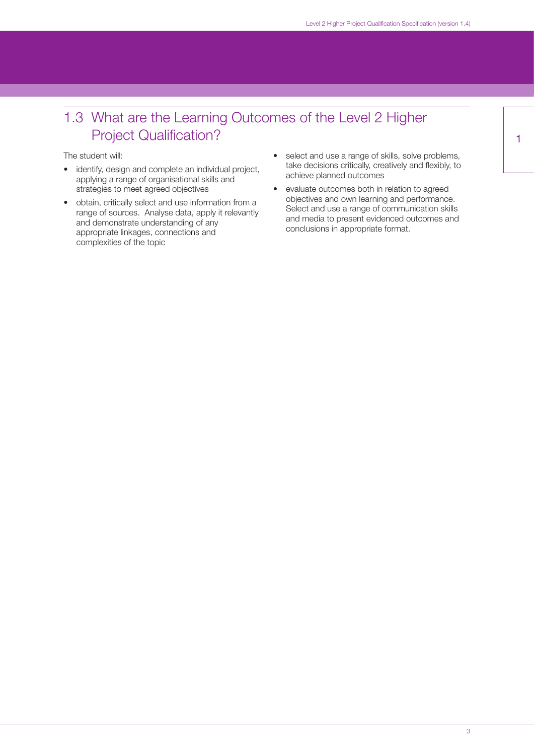## <span id="page-3-0"></span>1.3 What are the Learning Outcomes of the Level 2 Higher Project Qualification?

The student will:

- identify, design and complete an individual project, applying a range of organisational skills and strategies to meet agreed objectives
- obtain, critically select and use information from a range of sources. Analyse data, apply it relevantly and demonstrate understanding of any appropriate linkages, connections and complexities of the topic
- select and use a range of skills, solve problems, take decisions critically, creatively and flexibly, to achieve planned outcomes
- evaluate outcomes both in relation to agreed objectives and own learning and performance. Select and use a range of communication skills and media to present evidenced outcomes and conclusions in appropriate format.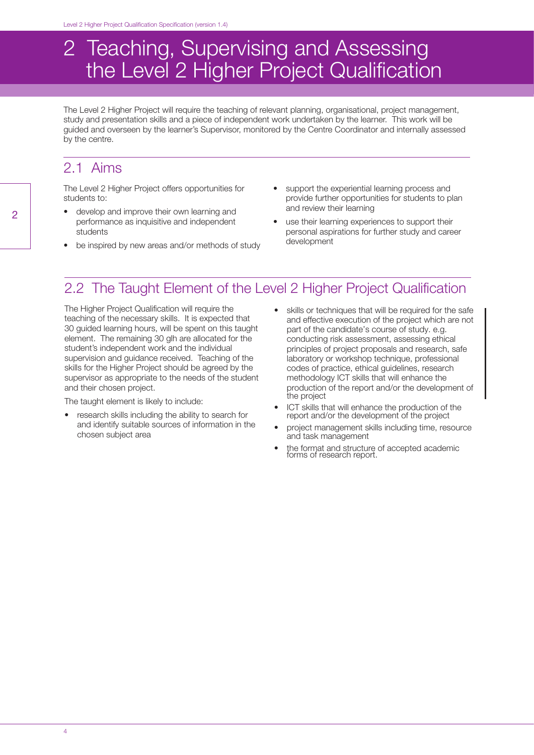## 2 Teaching, Supervising and Assessing the Level 2 Higher Project Qualification

The Level 2 Higher Project will require the teaching of relevant planning, organisational, project management, study and presentation skills and a piece of independent work undertaken by the learner. This work will be guided and overseen by the learner's Supervisor, monitored by the Centre Coordinator and internally assessed by the centre.

### 2.1 Aims

The Level 2 Higher Project offers opportunities for students to:

- develop and improve their own learning and performance as inquisitive and independent students
- be inspired by new areas and/or methods of study
- support the experiential learning process and provide further opportunities for students to plan and review their learning
- use their learning experiences to support their personal aspirations for further study and career development

## 2.2 The Taught Element of the Level 2 Higher Project Qualification

The Higher Project Qualification will require the teaching of the necessary skills. It is expected that 30 guided learning hours, will be spent on this taught element. The remaining 30 glh are allocated for the student's independent work and the individual supervision and guidance received. Teaching of the skills for the Higher Project should be agreed by the supervisor as appropriate to the needs of the student and their chosen project.

The taught element is likely to include:

- research skills including the ability to search for and identify suitable sources of information in the chosen subject area
- skills or techniques that will be required for the safe and effective execution of the project which are not part of the candidate's course of study. e.g. conducting risk assessment, assessing ethical principles of project proposals and research, safe laboratory or workshop technique, professional codes of practice, ethical guidelines, research methodology ICT skills that will enhance the production of the report and/or the development of the project
- ICT skills that will enhance the production of the report and/or the development of the project
- project management skills including time, resource and task management
- the format and structure of accepted academic forms of research report.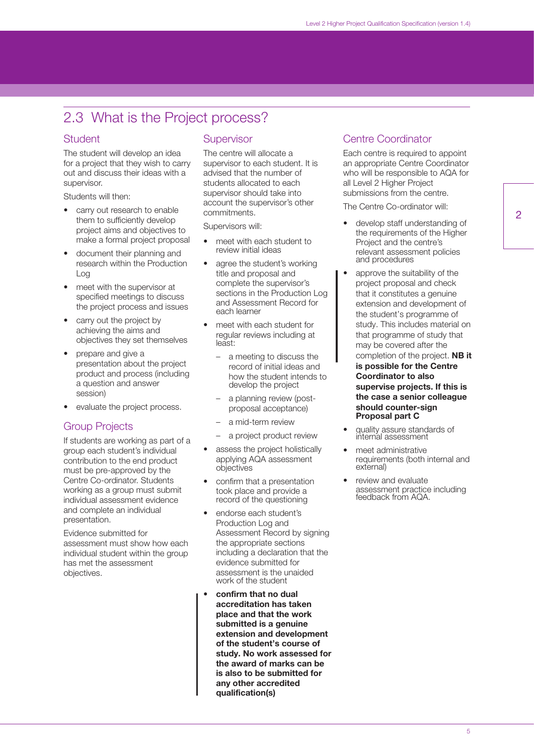## <span id="page-5-0"></span>2.3 What is the Project process?

#### Student

The student will develop an idea for a project that they wish to carry out and discuss their ideas with a supervisor.

Students will then:

- carry out research to enable them to sufficiently develop project aims and objectives to make a formal project proposal
- document their planning and research within the Production Log
- meet with the supervisor at specified meetings to discuss the project process and issues
- carry out the project by achieving the aims and objectives they set themselves
- prepare and give a presentation about the project product and process (including a question and answer session)
- evaluate the project process.

#### Group Projects

If students are working as part of a group each student's individual contribution to the end product must be pre-approved by the Centre Co-ordinator. Students working as a group must submit individual assessment evidence and complete an individual presentation.

Evidence submitted for assessment must show how each individual student within the group has met the assessment objectives.

#### **Supervisor**

The centre will allocate a supervisor to each student. It is advised that the number of students allocated to each supervisor should take into account the supervisor's other commitments.

Supervisors will:

- meet with each student to review initial ideas
- agree the student's working title and proposal and complete the supervisor's sections in the Production Log and Assessment Record for each learner
- meet with each student for regular reviews including at least:
	- a meeting to discuss the record of initial ideas and how the student intends to develop the project
	- a planning review (postproposal acceptance)
	- a mid-term review
	- a project product review
- assess the project holistically applying AQA assessment objectives
- confirm that a presentation took place and provide a record of the questioning
- endorse each student's Production Log and Assessment Record by signing the appropriate sections including a declaration that the evidence submitted for assessment is the unaided work of the student
- **confirm that no dual accreditation has taken place and that the work submitted is a genuine extension and development of the student's course of study. No work assessed for the award of marks can be is also to be submitted for any other accredited qualification(s)**

#### Centre Coordinator

Each centre is required to appoint an appropriate Centre Coordinator who will be responsible to AQA for all Level 2 Higher Project submissions from the centre.

The Centre Co-ordinator will:

- develop staff understanding of the requirements of the Higher Project and the centre's relevant assessment policies and procedures
- approve the suitability of the project proposal and check that it constitutes a genuine extension and development of the student's programme of study. This includes material on that programme of study that may be covered after the completion of the project. **NB it is possible for the Centre Coordinator to also supervise projects. If this is the case a senior colleague should counter-sign Proposal part C**
- quality assure standards of internal assessment
- meet administrative requirements (both internal and external)
- review and evaluate assessment practice including feedback from AQA.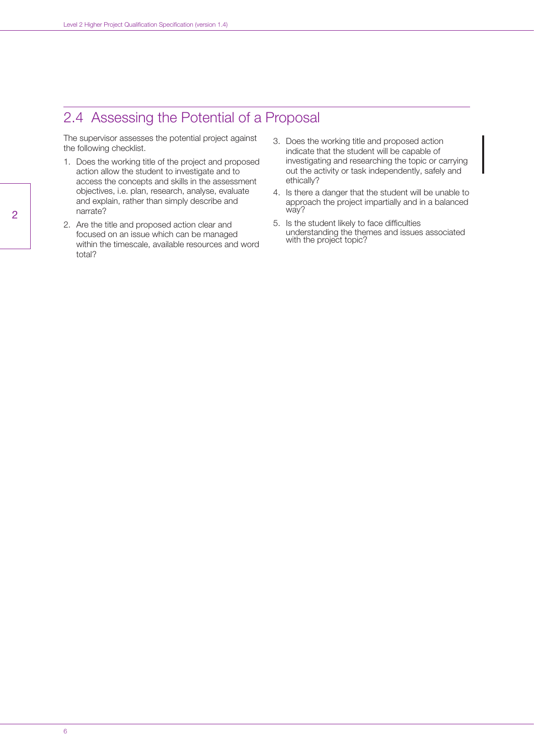## <span id="page-6-0"></span>2.4 Assessing the Potential of a Proposal

The supervisor assesses the potential project against the following checklist.

- 1. Does the working title of the project and proposed action allow the student to investigate and to access the concepts and skills in the assessment objectives, i.e. plan, research, analyse, evaluate and explain, rather than simply describe and narrate?
- 2. Are the title and proposed action clear and focused on an issue which can be managed within the timescale, available resources and word total?
- 3. Does the working title and proposed action indicate that the student will be capable of investigating and researching the topic or carrying out the activity or task independently, safely and ethically?
- 4. Is there a danger that the student will be unable to approach the project impartially and in a balanced way?
- 5. Is the student likely to face difficulties understanding the themes and issues associated with the project topic?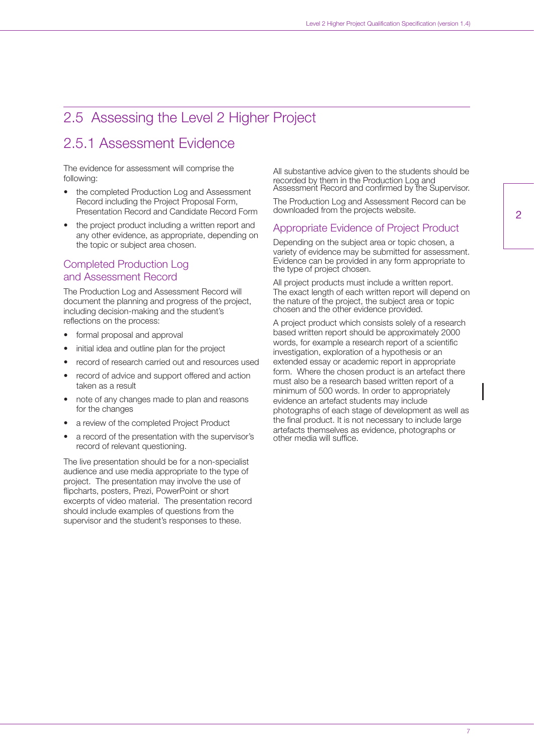## <span id="page-7-0"></span>2.5 Assessing the Level 2 Higher Project

## 2.5.1 Assessment Evidence

The evidence for assessment will comprise the following:

- the completed Production Log and Assessment Record including the Project Proposal Form, Presentation Record and Candidate Record Form
- the project product including a written report and any other evidence, as appropriate, depending on the topic or subject area chosen.

#### Completed Production Log and Assessment Record

The Production Log and Assessment Record will document the planning and progress of the project, including decision-making and the student's reflections on the process:

- formal proposal and approval
- initial idea and outline plan for the project
- record of research carried out and resources used
- record of advice and support offered and action taken as a result
- note of any changes made to plan and reasons for the changes
- a review of the completed Project Product
- a record of the presentation with the supervisor's record of relevant questioning.

The live presentation should be for a non-specialist audience and use media appropriate to the type of project. The presentation may involve the use of flipcharts, posters, Prezi, PowerPoint or short excerpts of video material. The presentation record should include examples of questions from the supervisor and the student's responses to these.

All substantive advice given to the students should be recorded by them in the Production Log and Assessment Record and confirmed by the Supervisor.

The Production Log and Assessment Record can be downloaded from the projects website.

#### Appropriate Evidence of Project Product

Depending on the subject area or topic chosen, a variety of evidence may be submitted for assessment. Evidence can be provided in any form appropriate to the type of project chosen.

All project products must include a written report. The exact length of each written report will depend on the nature of the project, the subject area or topic chosen and the other evidence provided.

A project product which consists solely of a research based written report should be approximately 2000 words, for example a research report of a scientific investigation, exploration of a hypothesis or an extended essay or academic report in appropriate form. Where the chosen product is an artefact there must also be a research based written report of a minimum of 500 words. In order to appropriately evidence an artefact students may include photographs of each stage of development as well as the final product. It is not necessary to include large artefacts themselves as evidence, photographs or other media will suffice.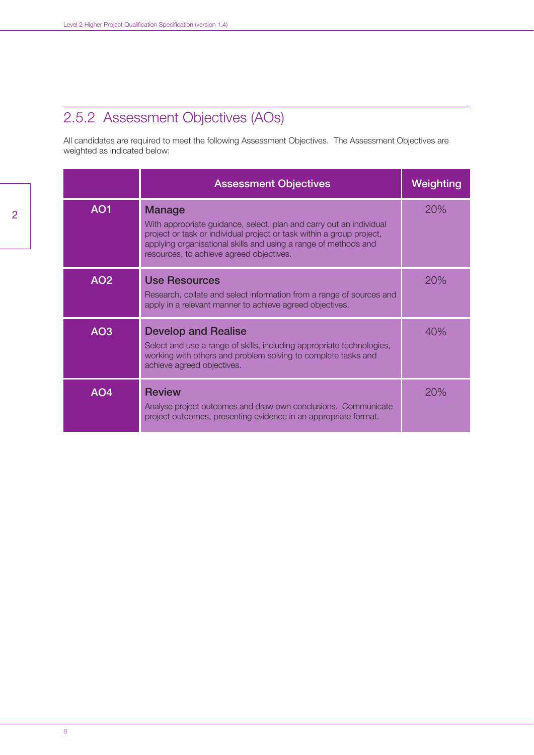## 2.5.2 Assessment Objectives (AOs)

All candidates are required to meet the following Assessment Objectives. The Assessment Objectives are weighted as indicated below:

|                 | <b>Assessment Objectives</b>                                                                                                                                                                                                                                                 | Weighting |
|-----------------|------------------------------------------------------------------------------------------------------------------------------------------------------------------------------------------------------------------------------------------------------------------------------|-----------|
| <b>AO1</b>      | <b>Manage</b><br>With appropriate guidance, select, plan and carry out an individual<br>project or task or individual project or task within a group project,<br>applying organisational skills and using a range of methods and<br>resources, to achieve agreed objectives. | 20%       |
| AO <sub>2</sub> | <b>Use Resources</b><br>Research, collate and select information from a range of sources and<br>apply in a relevant manner to achieve agreed objectives.                                                                                                                     | 20%       |
| AO <sub>3</sub> | <b>Develop and Realise</b><br>Select and use a range of skills, including appropriate technologies,<br>working with others and problem solving to complete tasks and<br>achieve agreed objectives.                                                                           | 40%       |
| AO <sub>4</sub> | <b>Review</b><br>Analyse project outcomes and draw own conclusions. Communicate<br>project outcomes, presenting evidence in an appropriate format.                                                                                                                           | 20%       |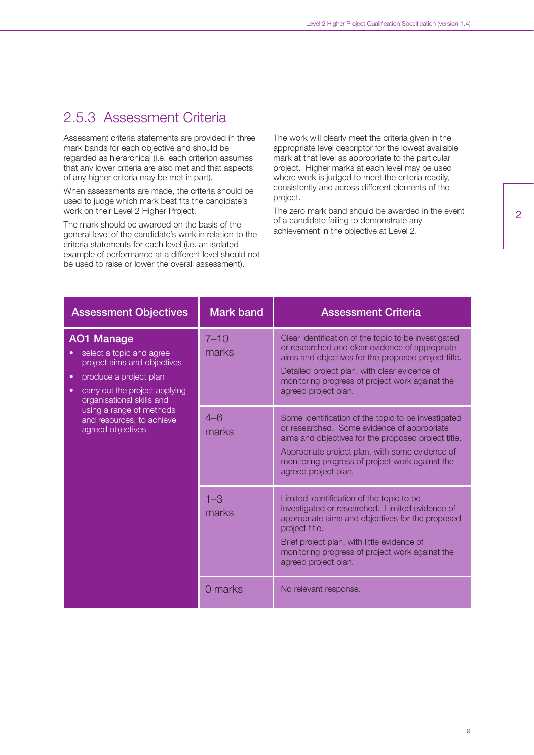## 2.5.3 Assessment Criteria

Assessment criteria statements are provided in three mark bands for each objective and should be regarded as hierarchical (i.e. each criterion assumes that any lower criteria are also met and that aspects of any higher criteria may be met in part).

When assessments are made, the criteria should be used to judge which mark best fits the candidate's work on their Level 2 Higher Project.

The mark should be awarded on the basis of the general level of the candidate's work in relation to the criteria statements for each level (i.e. an isolated example of performance at a different level should not be used to raise or lower the overall assessment).

The work will clearly meet the criteria given in the appropriate level descriptor for the lowest available mark at that level as appropriate to the particular project. Higher marks at each level may be used where work is judged to meet the criteria readily, consistently and across different elements of the project.

The zero mark band should be awarded in the event of a candidate failing to demonstrate any achievement in the objective at Level 2.

| <b>Assessment Objectives</b>                                                                                                                                                            | <b>Mark band</b>  | <b>Assessment Criteria</b>                                                                                                                                                                                                                                                                   |
|-----------------------------------------------------------------------------------------------------------------------------------------------------------------------------------------|-------------------|----------------------------------------------------------------------------------------------------------------------------------------------------------------------------------------------------------------------------------------------------------------------------------------------|
| <b>AO1 Manage</b><br>select a topic and agree<br>project aims and objectives<br>produce a project plan<br>٠<br>carry out the project applying<br>$\bullet$<br>organisational skills and | $7 - 10$<br>marks | Clear identification of the topic to be investigated<br>or researched and clear evidence of appropriate<br>aims and objectives for the proposed project title.<br>Detailed project plan, with clear evidence of<br>monitoring progress of project work against the<br>agreed project plan.   |
| using a range of methods<br>and resources, to achieve<br>agreed objectives                                                                                                              | $4 - 6$<br>marks  | Some identification of the topic to be investigated<br>or researched. Some evidence of appropriate<br>aims and objectives for the proposed project title.<br>Appropriate project plan, with some evidence of<br>monitoring progress of project work against the<br>agreed project plan.      |
|                                                                                                                                                                                         | $1 - 3$<br>marks  | Limited identification of the topic to be<br>investigated or researched. Limited evidence of<br>appropriate aims and objectives for the proposed<br>project title.<br>Brief project plan, with little evidence of<br>monitoring progress of project work against the<br>agreed project plan. |
|                                                                                                                                                                                         | 0 marks           | No relevant response.                                                                                                                                                                                                                                                                        |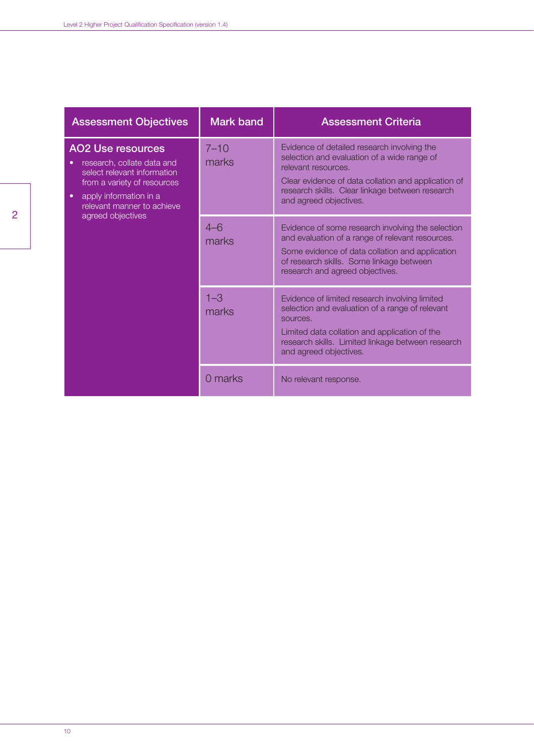| <b>Assessment Objectives</b>                                                                                                                                                              | <b>Mark band</b>  | <b>Assessment Criteria</b>                                                                                                                                                                                                                            |
|-------------------------------------------------------------------------------------------------------------------------------------------------------------------------------------------|-------------------|-------------------------------------------------------------------------------------------------------------------------------------------------------------------------------------------------------------------------------------------------------|
| <b>AO2 Use resources</b><br>research, collate data and<br>select relevant information<br>from a variety of resources<br>apply information in a<br>$\bullet$<br>relevant manner to achieve | $7 - 10$<br>marks | Evidence of detailed research involving the<br>selection and evaluation of a wide range of<br>relevant resources.<br>Clear evidence of data collation and application of<br>research skills. Clear linkage between research<br>and agreed objectives. |
| agreed objectives                                                                                                                                                                         | $4 - 6$<br>marks  | Evidence of some research involving the selection<br>and evaluation of a range of relevant resources.<br>Some evidence of data collation and application<br>of research skills. Some linkage between<br>research and agreed objectives.               |
|                                                                                                                                                                                           | $1 - 3$<br>marks  | Evidence of limited research involving limited<br>selection and evaluation of a range of relevant<br>sources.<br>Limited data collation and application of the<br>research skills. Limited linkage between research<br>and agreed objectives.         |
|                                                                                                                                                                                           | 0 marks           | No relevant response.                                                                                                                                                                                                                                 |

2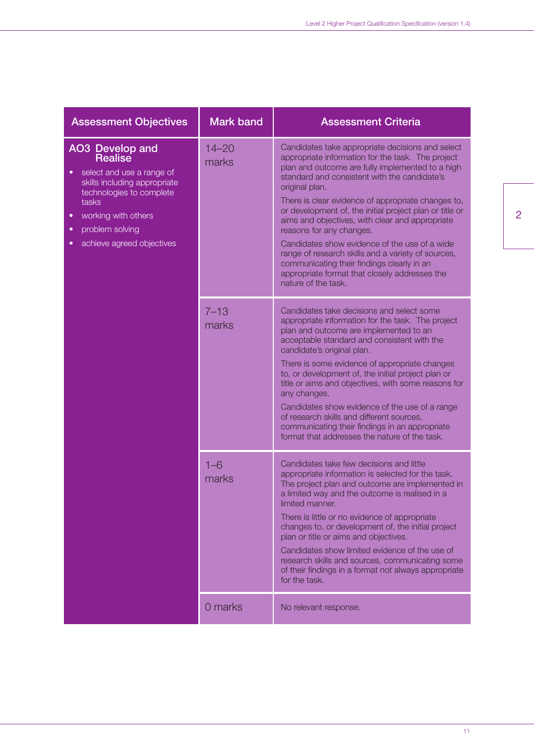| <b>Assessment Objectives</b>                                                                                                                                                                                                               | <b>Mark band</b>   | <b>Assessment Criteria</b>                                                                                                                                                                                                                                                                                                                                                                                                                                                                                                                                                                                                                               |
|--------------------------------------------------------------------------------------------------------------------------------------------------------------------------------------------------------------------------------------------|--------------------|----------------------------------------------------------------------------------------------------------------------------------------------------------------------------------------------------------------------------------------------------------------------------------------------------------------------------------------------------------------------------------------------------------------------------------------------------------------------------------------------------------------------------------------------------------------------------------------------------------------------------------------------------------|
| AO3 Develop and<br>Realise<br>select and use a range of<br>skills including appropriate<br>technologies to complete<br>tasks<br>working with others<br>$\bullet$<br>problem solving<br>$\bullet$<br>achieve agreed objectives<br>$\bullet$ | $14 - 20$<br>marks | Candidates take appropriate decisions and select<br>appropriate information for the task. The project<br>plan and outcome are fully implemented to a high<br>standard and consistent with the candidate's<br>original plan.<br>There is clear evidence of appropriate changes to,<br>or development of, the initial project plan or title or<br>aims and objectives, with clear and appropriate<br>reasons for any changes.<br>Candidates show evidence of the use of a wide<br>range of research skills and a variety of sources,<br>communicating their findings clearly in an<br>appropriate format that closely addresses the<br>nature of the task. |
|                                                                                                                                                                                                                                            | $7 - 13$<br>marks  | Candidates take decisions and select some<br>appropriate information for the task. The project<br>plan and outcome are implemented to an<br>acceptable standard and consistent with the<br>candidate's original plan.<br>There is some evidence of appropriate changes<br>to, or development of, the initial project plan or<br>title or aims and objectives, with some reasons for<br>any changes.<br>Candidates show evidence of the use of a range<br>of research skills and different sources,<br>communicating their findings in an appropriate<br>format that addresses the nature of the task.                                                    |
|                                                                                                                                                                                                                                            | $1 - 6$<br>marks   | Candidates take few decisions and little<br>appropriate information is selected for the task.<br>The project plan and outcome are implemented in<br>a limited way and the outcome is realised in a<br>limited manner.<br>There is little or no evidence of appropriate<br>changes to, or development of, the initial project<br>plan or title or aims and objectives.<br>Candidates show limited evidence of the use of<br>research skills and sources, communicating some<br>of their findings in a format not always appropriate<br>for the task.                                                                                                      |
|                                                                                                                                                                                                                                            | 0 marks            | No relevant response.                                                                                                                                                                                                                                                                                                                                                                                                                                                                                                                                                                                                                                    |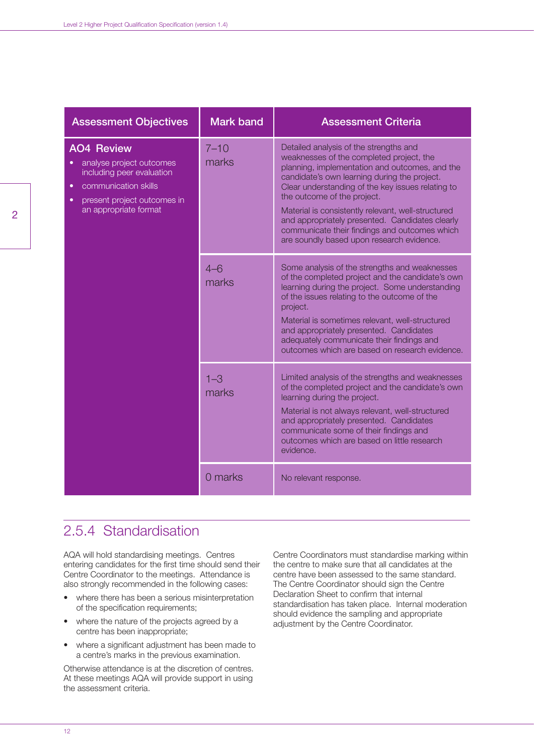| <b>Assessment Objectives</b>                                                                                                                               | <b>Mark band</b>  | <b>Assessment Criteria</b>                                                                                                                                                                                                                                                                                                                                                                                                                                                      |
|------------------------------------------------------------------------------------------------------------------------------------------------------------|-------------------|---------------------------------------------------------------------------------------------------------------------------------------------------------------------------------------------------------------------------------------------------------------------------------------------------------------------------------------------------------------------------------------------------------------------------------------------------------------------------------|
| <b>AO4 Review</b><br>analyse project outcomes<br>including peer evaluation<br>communication skills<br>present project outcomes in<br>an appropriate format | $7 - 10$<br>marks | Detailed analysis of the strengths and<br>weaknesses of the completed project, the<br>planning, implementation and outcomes, and the<br>candidate's own learning during the project.<br>Clear understanding of the key issues relating to<br>the outcome of the project.<br>Material is consistently relevant, well-structured<br>and appropriately presented. Candidates clearly<br>communicate their findings and outcomes which<br>are soundly based upon research evidence. |
|                                                                                                                                                            | $4 - 6$<br>marks  | Some analysis of the strengths and weaknesses<br>of the completed project and the candidate's own<br>learning during the project. Some understanding<br>of the issues relating to the outcome of the<br>project.<br>Material is sometimes relevant, well-structured<br>and appropriately presented. Candidates<br>adequately communicate their findings and<br>outcomes which are based on research evidence.                                                                   |
|                                                                                                                                                            | $1 - 3$<br>marks  | Limited analysis of the strengths and weaknesses<br>of the completed project and the candidate's own<br>learning during the project.<br>Material is not always relevant, well-structured<br>and appropriately presented. Candidates<br>communicate some of their findings and<br>outcomes which are based on little research<br>evidence.                                                                                                                                       |
|                                                                                                                                                            | 0 marks           | No relevant response.                                                                                                                                                                                                                                                                                                                                                                                                                                                           |

### 2.5.4 Standardisation

AQA will hold standardising meetings. Centres entering candidates for the first time should send their Centre Coordinator to the meetings. Attendance is also strongly recommended in the following cases:

- where there has been a serious misinterpretation of the specification requirements;
- where the nature of the projects agreed by a centre has been inappropriate;
- where a significant adjustment has been made to a centre's marks in the previous examination.

Otherwise attendance is at the discretion of centres. At these meetings AQA will provide support in using the assessment criteria.

Centre Coordinators must standardise marking within the centre to make sure that all candidates at the centre have been assessed to the same standard. The Centre Coordinator should sign the Centre Declaration Sheet to confirm that internal standardisation has taken place. Internal moderation should evidence the sampling and appropriate adjustment by the Centre Coordinator.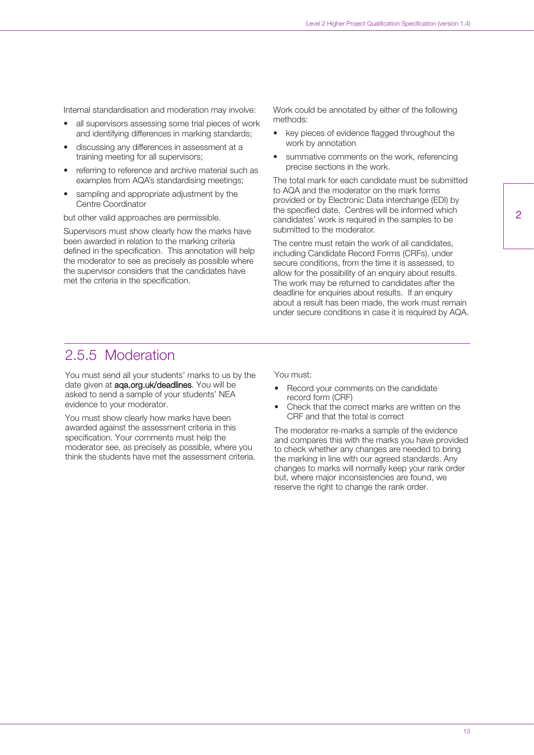Internal standardisation and moderation may involve:

- all supervisors assessing some trial pieces of work and identifying differences in marking standards;
- discussing any differences in assessment at a training meeting for all supervisors;
- referring to reference and archive material such as examples from AQA's standardising meetings;
- sampling and appropriate adjustment by the Centre Coordinator

but other valid approaches are permissible.

Supervisors must show clearly how the marks have been awarded in relation to the marking criteria defined in the specification. This annotation will help the moderator to see as precisely as possible where the supervisor considers that the candidates have met the criteria in the specification.

Work could be annotated by either of the following methods:

- key pieces of evidence flagged throughout the work by annotation
- summative comments on the work, referencing precise sections in the work.

The total mark for each candidate must be submitted to AQA and the moderator on the mark forms provided or by Electronic Data interchange (EDI) by the specified date. Centres will be informed which candidates' work is required in the samples to be submitted to the moderator.

The centre must retain the work of all candidates, including Candidate Record Forms (CRFs), under secure conditions, from the time it is assessed, to allow for the possibility of an enquiry about results. The work may be returned to candidates after the deadline for enquiries about results. If an enquiry about a result has been made, the work must remain under secure conditions in case it is required by AQA.

#### 2.5.5 Moderation

You must send all your students' marks to us by the date given at **aga.org.uk/deadlines**. You will be asked to send a sample of your students' NEA evidence to your moderator.

You must show clearly how marks have been awarded against the assessment criteria in this specification. Your comments must help the moderator see, as precisely as possible, where you think the students have met the assessment criteria. You must:

- Record your comments on the candidate record form (CRF)
- Check that the correct marks are written on the CRF and that the total is correct

The moderator re-marks a sample of the evidence and compares this with the marks you have provided to check whether any changes are needed to bring the marking in line with our agreed standards. Any changes to marks will normally keep your rank order but, where major inconsistencies are found, we reserve the right to change the rank order.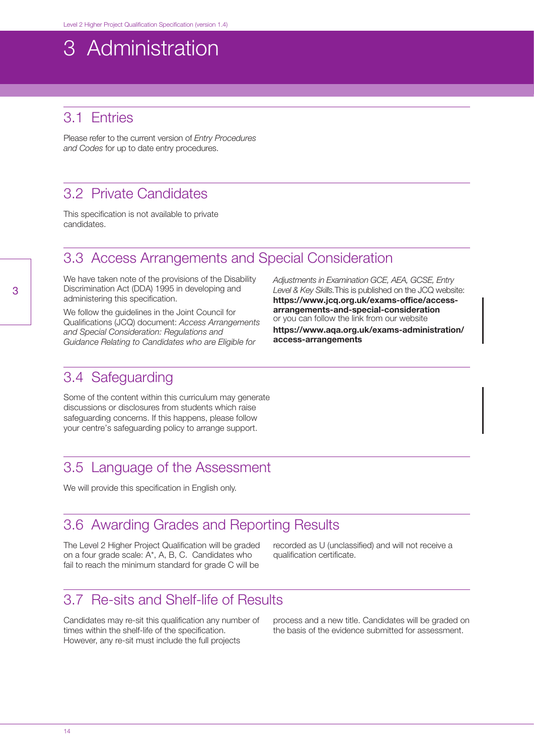## <span id="page-14-0"></span>3 Administration

## 3.1 Entries

Please refer to the current version of *Entry Procedures and Codes* for up to date entry procedures.

### 3.2 Private Candidates

This specification is not available to private candidates.

### 3.3 Access Arrangements and Special Consideration

We have taken note of the provisions of the Disability Discrimination Act (DDA) 1995 in developing and administering this specification.

We follow the guidelines in the Joint Council for Qualifications (JCQ) document: *Access Arrangements and Special Consideration: Regulations and Guidance Relating to Candidates who are Eligible for*

*Adjustments in Examination GCE, AEA, GCSE, Entry Level & Key Skills.*This is published on the JCQ website: **https://www.jcq.org.uk/exams-office/accessarrangements-and-special-consideration** or you can follow the link from our website **https://www.aqa.org.uk/exams-administration/ access-arrangements**

#### 3.4 Safeguarding

Some of the content within this curriculum may generate discussions or disclosures from students which raise safeguarding concerns. If this happens, please follow your centre's safeguarding policy to arrange support.

#### 3.5 Language of the Assessment

We will provide this specification in English only.

#### 3.6 Awarding Grades and Reporting Results

The Level 2 Higher Project Qualification will be graded on a four grade scale: A\*, A, B, C. Candidates who fail to reach the minimum standard for grade C will be

recorded as U (unclassified) and will not receive a qualification certificate.

#### 3.7 Re-sits and Shelf-life of Results

Candidates may re-sit this qualification any number of times within the shelf-life of the specification. However, any re-sit must include the full projects

process and a new title. Candidates will be graded on the basis of the evidence submitted for assessment.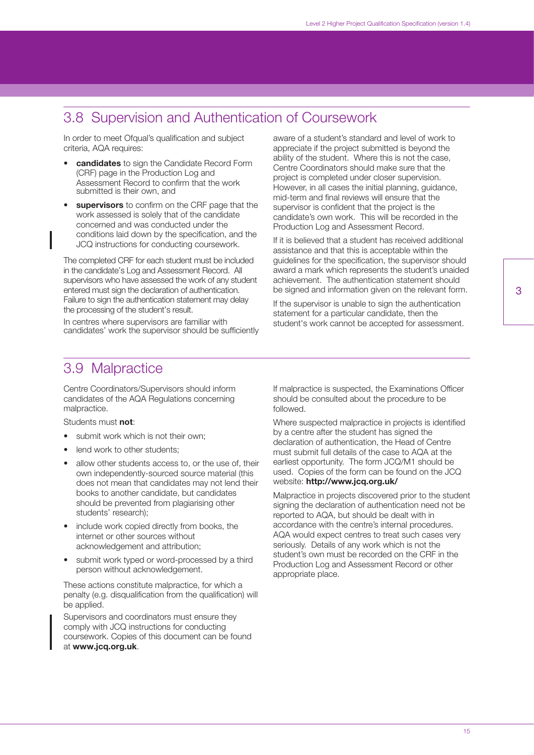### <span id="page-15-0"></span>3.8 Supervision and Authentication of Coursework

In order to meet Ofqual's qualification and subject criteria, AQA requires:

- **candidates** to sign the Candidate Record Form (CRF) page in the Production Log and Assessment Record to confirm that the work submitted is their own, and
- **supervisors** to confirm on the CRF page that the work assessed is solely that of the candidate concerned and was conducted under the conditions laid down by the specification, and the JCQ instructions for conducting coursework.

The completed CRF for each student must be included in the candidate's Log and Assessment Record. All supervisors who have assessed the work of any student entered must sign the declaration of authentication. Failure to sign the authentication statement may delay the processing of the student's result.

In centres where supervisors are familiar with candidates' work the supervisor should be sufficiently aware of a student's standard and level of work to appreciate if the project submitted is beyond the ability of the student. Where this is not the case, Centre Coordinators should make sure that the project is completed under closer supervision. However, in all cases the initial planning, guidance, mid-term and final reviews will ensure that the supervisor is confident that the project is the candidate's own work. This will be recorded in the Production Log and Assessment Record.

If it is believed that a student has received additional assistance and that this is acceptable within the guidelines for the specification, the supervisor should award a mark which represents the student's unaided achievement. The authentication statement should be signed and information given on the relevant form.

If the supervisor is unable to sign the authentication statement for a particular candidate, then the student's work cannot be accepted for assessment.

#### 3.9 Malpractice

Centre Coordinators/Supervisors should inform candidates of the AQA Regulations concerning malpractice.

#### Students must **not**:

- submit work which is not their own:
- lend work to other students;
- allow other students access to, or the use of, their own independently-sourced source material (this does not mean that candidates may not lend their books to another candidate, but candidates should be prevented from plagiarising other students' research);
- include work copied directly from books, the internet or other sources without acknowledgement and attribution;
- submit work typed or word-processed by a third person without acknowledgement.

These actions constitute malpractice, for which a penalty (e.g. disqualification from the qualification) will be applied.

Supervisors and coordinators must ensure they comply with JCQ instructions for conducting coursework. Copies of this document can be found at **www.jcq.org.uk**.

If malpractice is suspected, the Examinations Officer should be consulted about the procedure to be followed.

Where suspected malpractice in projects is identified by a centre after the student has signed the declaration of authentication, the Head of Centre must submit full details of the case to AQA at the earliest opportunity. The form JCQ/M1 should be used. Copies of the form can be found on the JCQ website: **http://www.jcq.org.uk/**

Malpractice in projects discovered prior to the student signing the declaration of authentication need not be reported to AQA, but should be dealt with in accordance with the centre's internal procedures. AQA would expect centres to treat such cases very seriously. Details of any work which is not the student's own must be recorded on the CRF in the Production Log and Assessment Record or other appropriate place.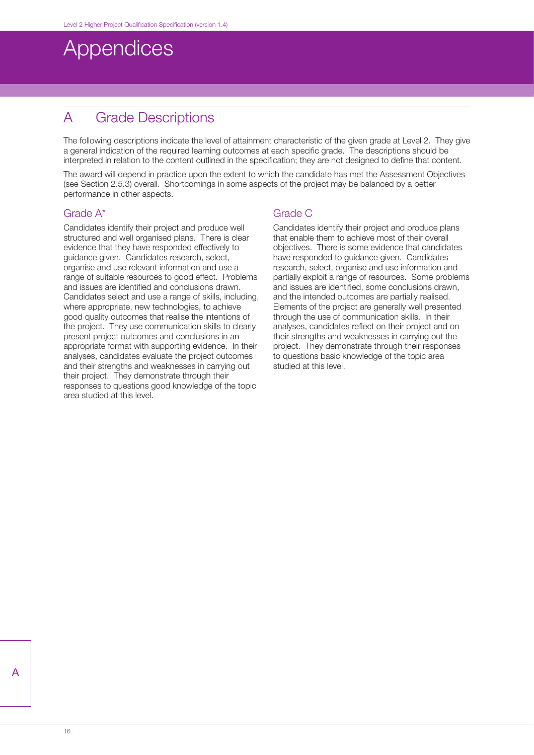## <span id="page-16-0"></span>**Appendices**

## A Grade Descriptions

The following descriptions indicate the level of attainment characteristic of the given grade at Level 2. They give a general indication of the required learning outcomes at each specific grade. The descriptions should be interpreted in relation to the content outlined in the specification; they are not designed to define that content.

The award will depend in practice upon the extent to which the candidate has met the Assessment Objectives (see Section 2.5.3) overall. Shortcomings in some aspects of the project may be balanced by a better performance in other aspects.

#### Grade A\*

Candidates identify their project and produce well structured and well organised plans. There is clear evidence that they have responded effectively to guidance given. Candidates research, select, organise and use relevant information and use a range of suitable resources to good effect. Problems and issues are identified and conclusions drawn. Candidates select and use a range of skills, including, where appropriate, new technologies, to achieve good quality outcomes that realise the intentions of the project. They use communication skills to clearly present project outcomes and conclusions in an appropriate format with supporting evidence. In their analyses, candidates evaluate the project outcomes and their strengths and weaknesses in carrying out their project. They demonstrate through their responses to questions good knowledge of the topic area studied at this level.

#### Grade C

Candidates identify their project and produce plans that enable them to achieve most of their overall objectives. There is some evidence that candidates have responded to guidance given. Candidates research, select, organise and use information and partially exploit a range of resources. Some problems and issues are identified, some conclusions drawn, and the intended outcomes are partially realised. Elements of the project are generally well presented through the use of communication skills. In their analyses, candidates reflect on their project and on their strengths and weaknesses in carrying out the project. They demonstrate through their responses to questions basic knowledge of the topic area studied at this level.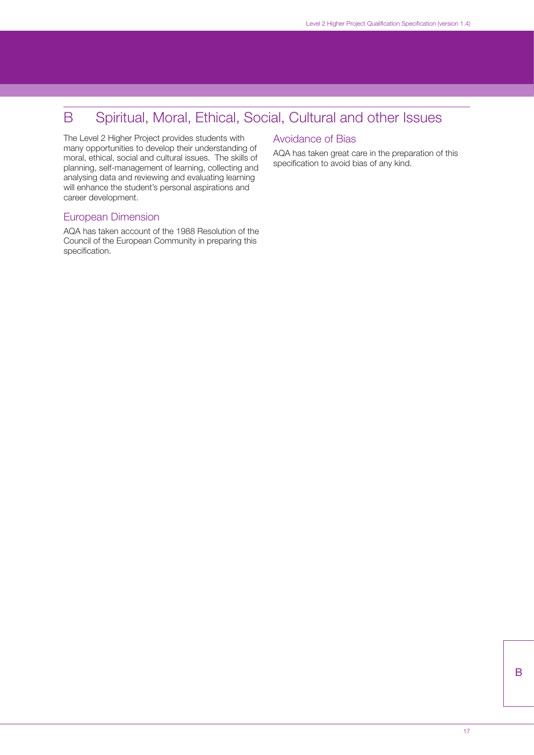## <span id="page-17-0"></span>B Spiritual, Moral, Ethical, Social, Cultural and other Issues

The Level 2 Higher Project provides students with many opportunities to develop their understanding of moral, ethical, social and cultural issues. The skills of planning, self-management of learning, collecting and analysing data and reviewing and evaluating learning will enhance the student's personal aspirations and career development.

#### European Dimension

AQA has taken account of the 1988 Resolution of the Council of the European Community in preparing this specification.

#### Avoidance of Bias

AQA has taken great care in the preparation of this specification to avoid bias of any kind.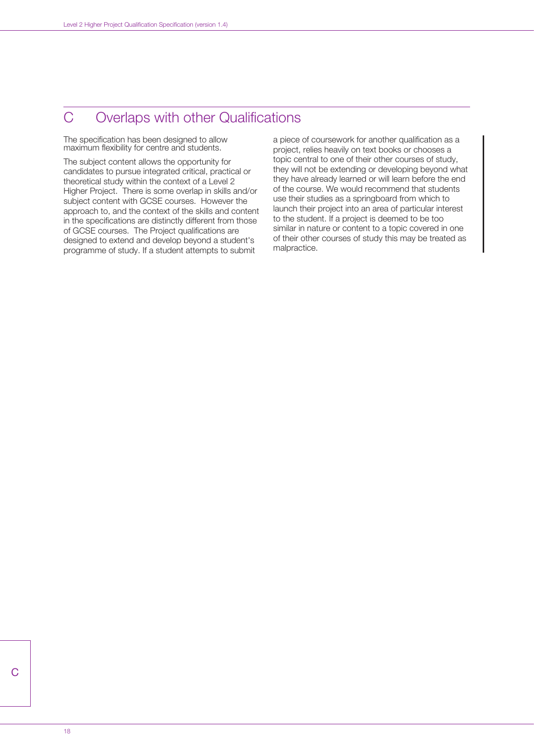## <span id="page-18-0"></span>C Overlaps with other Qualifications

The specification has been designed to allow maximum flexibility for centre and students.

The subject content allows the opportunity for candidates to pursue integrated critical, practical or theoretical study within the context of a Level 2 Higher Project. There is some overlap in skills and/or subject content with GCSE courses. However the approach to, and the context of the skills and content in the specifications are distinctly different from those of GCSE courses. The Project qualifications are designed to extend and develop beyond a student's programme of study. If a student attempts to submit

a piece of coursework for another qualification as a project, relies heavily on text books or chooses a topic central to one of their other courses of study, they will not be extending or developing beyond what they have already learned or will learn before the end of the course. We would recommend that students use their studies as a springboard from which to launch their project into an area of particular interest to the student. If a project is deemed to be too similar in nature or content to a topic covered in one of their other courses of study this may be treated as malpractice.